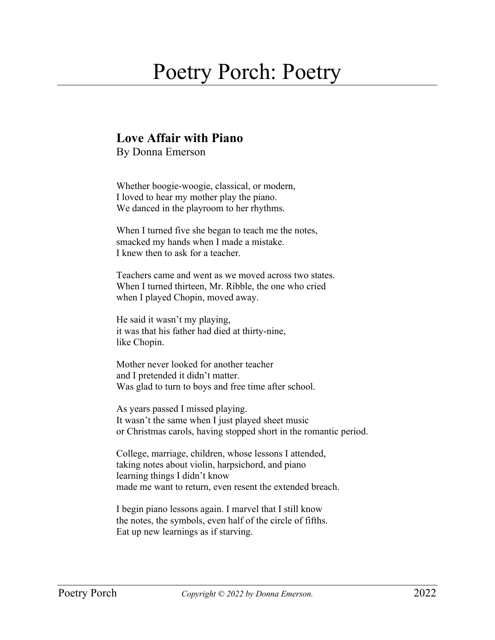## Poetry Porch: Poetry

## **Love Affair with Piano**

By Donna Emerson

Whether boogie-woogie, classical, or modern, I loved to hear my mother play the piano. We danced in the playroom to her rhythms.

When I turned five she began to teach me the notes, smacked my hands when I made a mistake. I knew then to ask for a teacher.

Teachers came and went as we moved across two states. When I turned thirteen, Mr. Ribble, the one who cried when I played Chopin, moved away.

He said it wasn't my playing, it was that his father had died at thirty-nine, like Chopin.

Mother never looked for another teacher and I pretended it didn't matter. Was glad to turn to boys and free time after school.

As years passed I missed playing. It wasn't the same when I just played sheet music or Christmas carols, having stopped short in the romantic period.

College, marriage, children, whose lessons I attended, taking notes about violin, harpsichord, and piano learning things I didn't know made me want to return, even resent the extended breach.

I begin piano lessons again. I marvel that I still know the notes, the symbols, even half of the circle of fifths. Eat up new learnings as if starving.